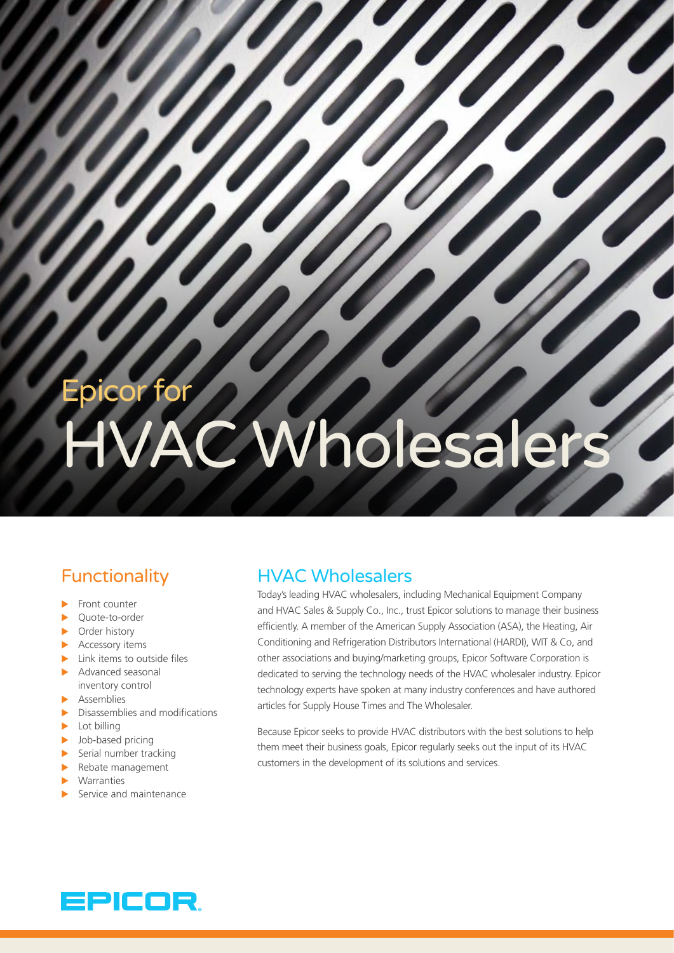# Epicor for **C Wholesaler**

# **Functionality**

- $\blacktriangleright$  Front counter
- ▶ Quote-to-order
- $\triangleright$  Order history
- $\blacktriangleright$  Accessory items
- $\blacktriangleright$  Link items to outside files
- $\blacktriangleright$  Advanced seasonal inventory control
- $\blacktriangleright$  Assemblies
- $\blacktriangleright$  Disassemblies and modifications
- $\blacktriangleright$  Lot billing
- $\blacktriangleright$  Job-based pricing
- $\blacktriangleright$  Serial number tracking
- $\blacktriangleright$  Rebate management
- **Warranties**
- Service and maintenance

### HVAC Wholesalers

Today's leading HVAC wholesalers, including Mechanical Equipment Company and HVAC Sales & Supply Co., Inc., trust Epicor solutions to manage their business efficiently. A member of the American Supply Association (ASA), the Heating, Air Conditioning and Refrigeration Distributors International (HARDI), WIT & Co, and other associations and buying/marketing groups, Epicor Software Corporation is dedicated to serving the technology needs of the HVAC wholesaler industry. Epicor technology experts have spoken at many industry conferences and have authored articles for Supply House Times and The Wholesaler.

Because Epicor seeks to provide HVAC distributors with the best solutions to help them meet their business goals, Epicor regularly seeks out the input of its HVAC customers in the development of its solutions and services.

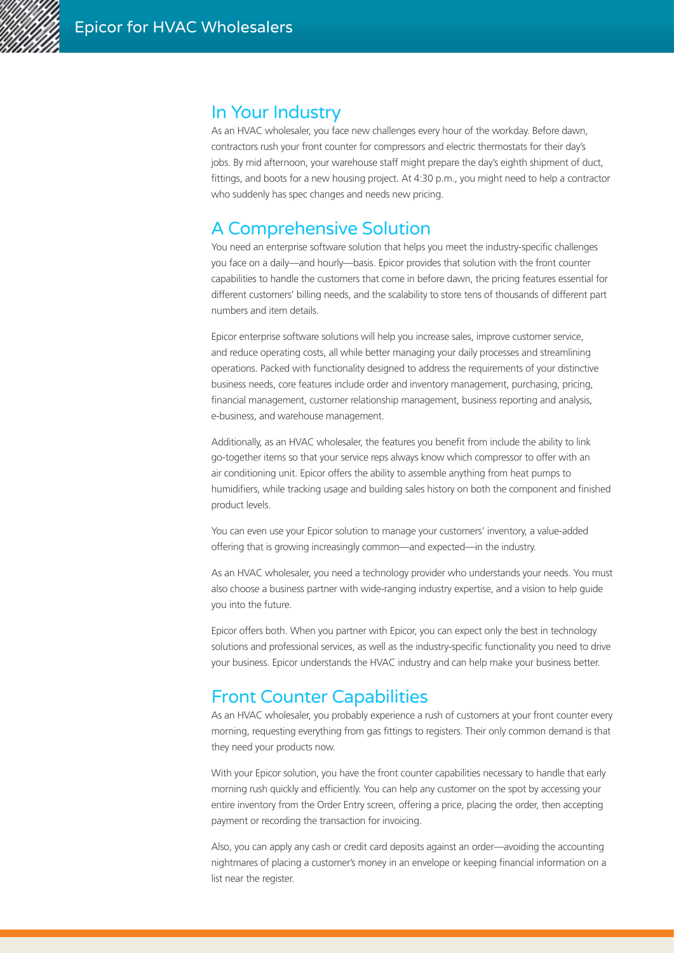

#### In Your Industry

As an HVAC wholesaler, you face new challenges every hour of the workday. Before dawn, contractors rush your front counter for compressors and electric thermostats for their day's jobs. By mid afternoon, your warehouse staff might prepare the day's eighth shipment of duct, fittings, and boots for a new housing project. At 4:30 p.m., you might need to help a contractor who suddenly has spec changes and needs new pricing.

### A Comprehensive Solution

You need an enterprise software solution that helps you meet the industry-specific challenges you face on a daily—and hourly—basis. Epicor provides that solution with the front counter capabilities to handle the customers that come in before dawn, the pricing features essential for different customers' billing needs, and the scalability to store tens of thousands of different part numbers and item details.

Epicor enterprise software solutions will help you increase sales, improve customer service, and reduce operating costs, all while better managing your daily processes and streamlining operations. Packed with functionality designed to address the requirements of your distinctive business needs, core features include order and inventory management, purchasing, pricing, financial management, customer relationship management, business reporting and analysis, e-business, and warehouse management.

Additionally, as an HVAC wholesaler, the features you benefit from include the ability to link go-together items so that your service reps always know which compressor to offer with an air conditioning unit. Epicor offers the ability to assemble anything from heat pumps to humidifiers, while tracking usage and building sales history on both the component and finished product levels.

You can even use your Epicor solution to manage your customers' inventory, a value-added offering that is growing increasingly common—and expected—in the industry.

As an HVAC wholesaler, you need a technology provider who understands your needs. You must also choose a business partner with wide-ranging industry expertise, and a vision to help guide you into the future.

Epicor offers both. When you partner with Epicor, you can expect only the best in technology solutions and professional services, as well as the industry-specific functionality you need to drive your business. Epicor understands the HVAC industry and can help make your business better.

### Front Counter Capabilities

As an HVAC wholesaler, you probably experience a rush of customers at your front counter every morning, requesting everything from gas fittings to registers. Their only common demand is that they need your products now.

With your Epicor solution, you have the front counter capabilities necessary to handle that early morning rush quickly and efficiently. You can help any customer on the spot by accessing your entire inventory from the Order Entry screen, offering a price, placing the order, then accepting payment or recording the transaction for invoicing.

Also, you can apply any cash or credit card deposits against an order—avoiding the accounting nightmares of placing a customer's money in an envelope or keeping financial information on a list near the register.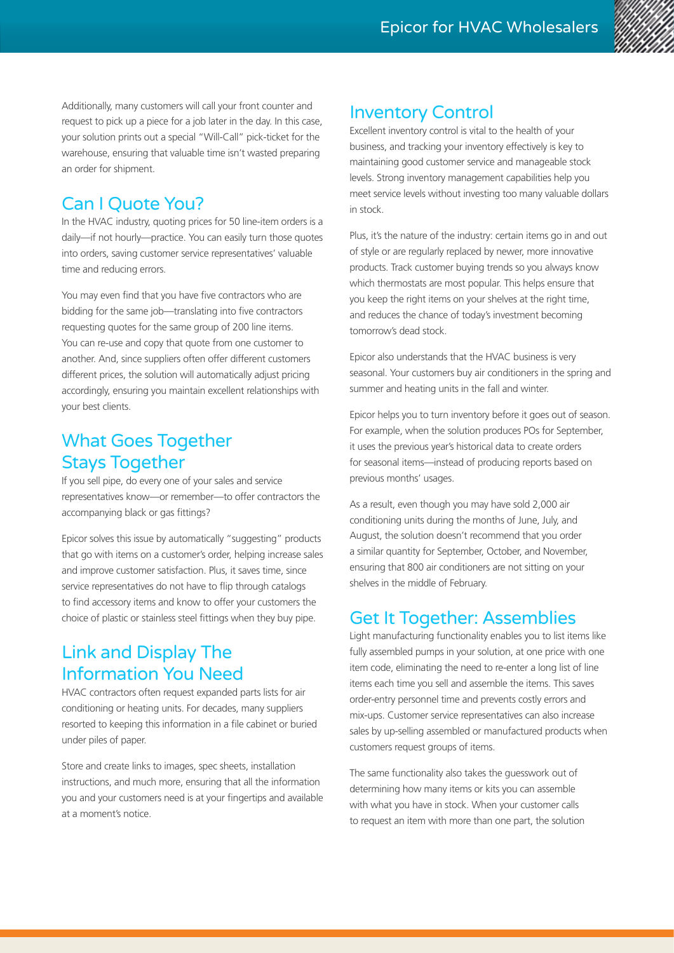

Additionally, many customers will call your front counter and request to pick up a piece for a job later in the day. In this case, your solution prints out a special "Will-Call" pick-ticket for the warehouse, ensuring that valuable time isn't wasted preparing an order for shipment.

# Can I Quote You?

In the HVAC industry, quoting prices for 50 line-item orders is a daily—if not hourly—practice. You can easily turn those quotes into orders, saving customer service representatives' valuable time and reducing errors.

You may even find that you have five contractors who are bidding for the same job—translating into five contractors requesting quotes for the same group of 200 line items. You can re-use and copy that quote from one customer to another. And, since suppliers often offer different customers different prices, the solution will automatically adjust pricing accordingly, ensuring you maintain excellent relationships with your best clients.

# What Goes Together Stays Together

If you sell pipe, do every one of your sales and service representatives know—or remember—to offer contractors the accompanying black or gas fittings?

Epicor solves this issue by automatically "suggesting" products that go with items on a customer's order, helping increase sales and improve customer satisfaction. Plus, it saves time, since service representatives do not have to flip through catalogs to find accessory items and know to offer your customers the choice of plastic or stainless steel fittings when they buy pipe.

# Link and Display The Information You Need

HVAC contractors often request expanded parts lists for air conditioning or heating units. For decades, many suppliers resorted to keeping this information in a file cabinet or buried under piles of paper.

Store and create links to images, spec sheets, installation instructions, and much more, ensuring that all the information you and your customers need is at your fingertips and available at a moment's notice.

#### Inventory Control

Excellent inventory control is vital to the health of your business, and tracking your inventory effectively is key to maintaining good customer service and manageable stock levels. Strong inventory management capabilities help you meet service levels without investing too many valuable dollars in stock.

Plus, it's the nature of the industry: certain items go in and out of style or are regularly replaced by newer, more innovative products. Track customer buying trends so you always know which thermostats are most popular. This helps ensure that you keep the right items on your shelves at the right time, and reduces the chance of today's investment becoming tomorrow's dead stock.

Epicor also understands that the HVAC business is very seasonal. Your customers buy air conditioners in the spring and summer and heating units in the fall and winter.

Epicor helps you to turn inventory before it goes out of season. For example, when the solution produces POs for September, it uses the previous year's historical data to create orders for seasonal items—instead of producing reports based on previous months' usages.

As a result, even though you may have sold 2,000 air conditioning units during the months of June, July, and August, the solution doesn't recommend that you order a similar quantity for September, October, and November, ensuring that 800 air conditioners are not sitting on your shelves in the middle of February.

### Get It Together: Assemblies

Light manufacturing functionality enables you to list items like fully assembled pumps in your solution, at one price with one item code, eliminating the need to re-enter a long list of line items each time you sell and assemble the items. This saves order-entry personnel time and prevents costly errors and mix-ups. Customer service representatives can also increase sales by up-selling assembled or manufactured products when customers request groups of items.

The same functionality also takes the guesswork out of determining how many items or kits you can assemble with what you have in stock. When your customer calls to request an item with more than one part, the solution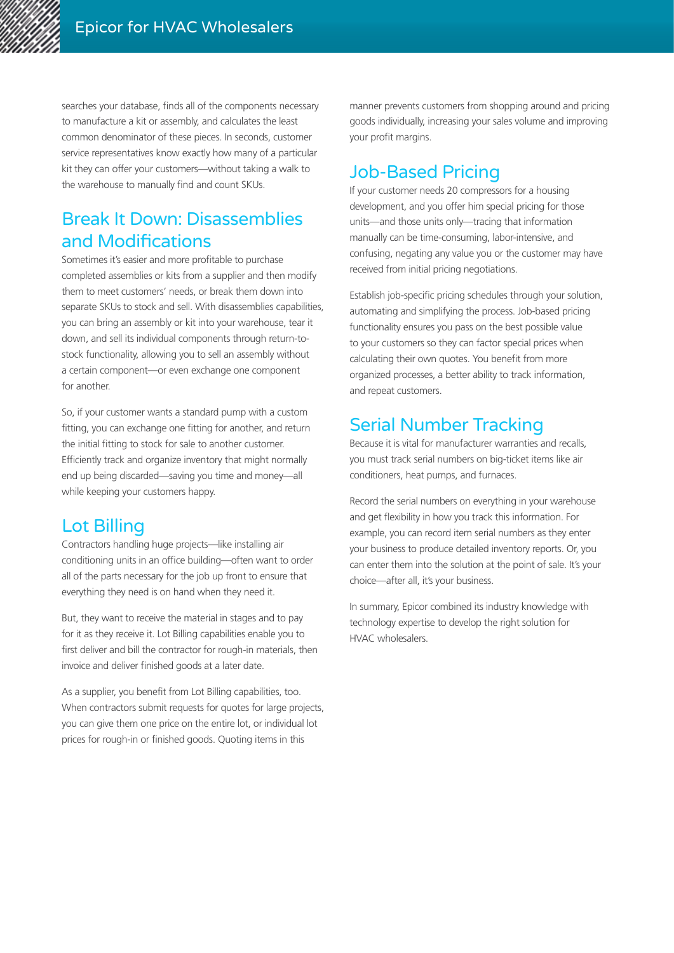

searches your database, finds all of the components necessary to manufacture a kit or assembly, and calculates the least common denominator of these pieces. In seconds, customer service representatives know exactly how many of a particular kit they can offer your customers—without taking a walk to the warehouse to manually find and count SKUs.

# Break It Down: Disassemblies and Modifications

Sometimes it's easier and more profitable to purchase completed assemblies or kits from a supplier and then modify them to meet customers' needs, or break them down into separate SKUs to stock and sell. With disassemblies capabilities, you can bring an assembly or kit into your warehouse, tear it down, and sell its individual components through return-tostock functionality, allowing you to sell an assembly without a certain component—or even exchange one component for another.

So, if your customer wants a standard pump with a custom fitting, you can exchange one fitting for another, and return the initial fitting to stock for sale to another customer. Efficiently track and organize inventory that might normally end up being discarded—saving you time and money—all while keeping your customers happy.

### Lot Billing

Contractors handling huge projects—like installing air conditioning units in an office building—often want to order all of the parts necessary for the job up front to ensure that everything they need is on hand when they need it.

But, they want to receive the material in stages and to pay for it as they receive it. Lot Billing capabilities enable you to first deliver and bill the contractor for rough-in materials, then invoice and deliver finished goods at a later date.

As a supplier, you benefit from Lot Billing capabilities, too. When contractors submit requests for quotes for large projects, you can give them one price on the entire lot, or individual lot prices for rough-in or finished goods. Quoting items in this

manner prevents customers from shopping around and pricing goods individually, increasing your sales volume and improving your profit margins.

# Job-Based Pricing

If your customer needs 20 compressors for a housing development, and you offer him special pricing for those units—and those units only—tracing that information manually can be time-consuming, labor-intensive, and confusing, negating any value you or the customer may have received from initial pricing negotiations.

Establish job-specific pricing schedules through your solution, automating and simplifying the process. Job-based pricing functionality ensures you pass on the best possible value to your customers so they can factor special prices when calculating their own quotes. You benefit from more organized processes, a better ability to track information, and repeat customers.

# Serial Number Tracking

Because it is vital for manufacturer warranties and recalls, you must track serial numbers on big-ticket items like air conditioners, heat pumps, and furnaces.

Record the serial numbers on everything in your warehouse and get flexibility in how you track this information. For example, you can record item serial numbers as they enter your business to produce detailed inventory reports. Or, you can enter them into the solution at the point of sale. It's your choice—after all, it's your business.

In summary, Epicor combined its industry knowledge with technology expertise to develop the right solution for HVAC wholesalers.